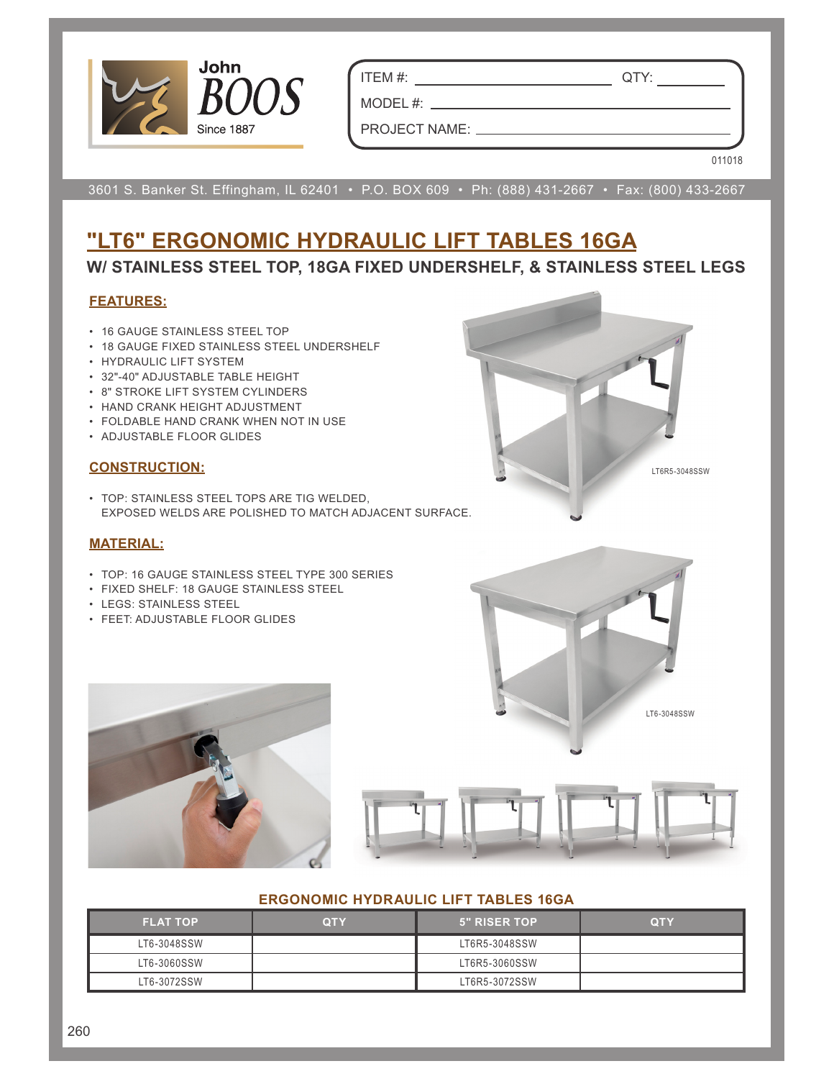

ITEM #: QTY:

MODEL #:

PROJECT NAME: \_\_\_\_\_\_\_\_

011018

3601 S. Banker St. Effingham, IL 62401 • P.O. BOX 609 • Ph: (888) 431-2667 • Fax: (800) 433-2667

# **"LT6" ERGONOMIC HYDRAULIC LIFT TABLES 16GA**

**W/ STAINLESS STEEL TOP, 18GA FIXED UNDERSHELF, & STAINLESS STEEL LEGS**

## **FEATURES:**

- 16 GAUGE STAINLESS STEEL TOP
- 18 GAUGE FIXED STAINLESS STEEL UNDERSHELF
- HYDRAULIC LIFT SYSTEM
- 32"-40" ADJUSTABLE TABLE HEIGHT
- 8" STROKE LIFT SYSTEM CYLINDERS
- HAND CRANK HEIGHT ADJUSTMENT
- FOLDABLE HAND CRANK WHEN NOT IN USE
- ADJUSTABLE FLOOR GLIDES

#### **CONSTRUCTION:**

• TOP: STAINLESS STEEL TOPS ARE TIG WELDED, EXPOSED WELDS ARE POLISHED TO MATCH ADJACENT SURFACE.

# **MATERIAL:**

- TOP: 16 GAUGE STAINLESS STEEL TYPE 300 SERIES
- FIXED SHELF: 18 GAUGE STAINLESS STEEL
- LEGS: STAINLESS STEEL
- FEET: ADJUSTABLE FLOOR GLIDES









### **ERGONOMIC HYDRAULIC LIFT TABLES 16GA**

| <b>FLAT TOP</b> | <b>QTY</b> | <b>5" RISER TOP</b> | <b>QTY</b> |
|-----------------|------------|---------------------|------------|
| LT6-3048SSW     |            | LT6R5-3048SSW       |            |
| LT6-3060SSW     |            | LT6R5-3060SSW       |            |
| LT6-3072SSW     |            | LT6R5-3072SSW       |            |